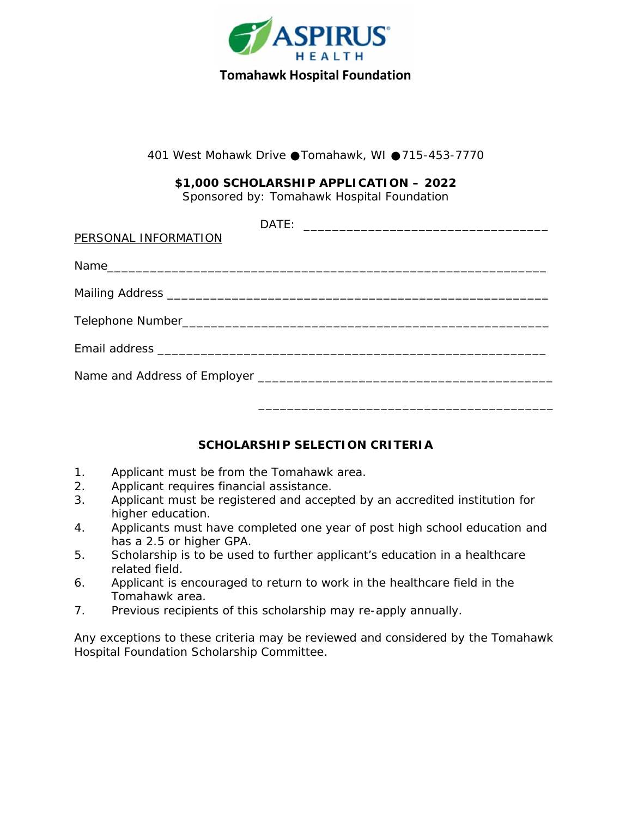

401 West Mohawk Drive Tomahawk, WI 715-453-7770

**\$1,000 SCHOLARSHIP APPLICATION – 2022** Sponsored by: Tomahawk Hospital Foundation

| PERSONAL INFORMATION |  |  |  |
|----------------------|--|--|--|
|                      |  |  |  |
|                      |  |  |  |
|                      |  |  |  |
|                      |  |  |  |
|                      |  |  |  |
|                      |  |  |  |

## **SCHOLARSHIP SELECTION CRITERIA**

- 1. Applicant must be from the Tomahawk area.
- 2. Applicant requires financial assistance.
- 3. Applicant must be registered and accepted by an accredited institution for higher education.
- 4. Applicants must have completed one year of post high school education and has a 2.5 or higher GPA.
- 5. Scholarship is to be used to further applicant's education in a healthcare related field.
- 6. Applicant is encouraged to return to work in the healthcare field in the Tomahawk area.
- 7. Previous recipients of this scholarship may re-apply annually.

Any exceptions to these criteria may be reviewed and considered by the Tomahawk Hospital Foundation Scholarship Committee.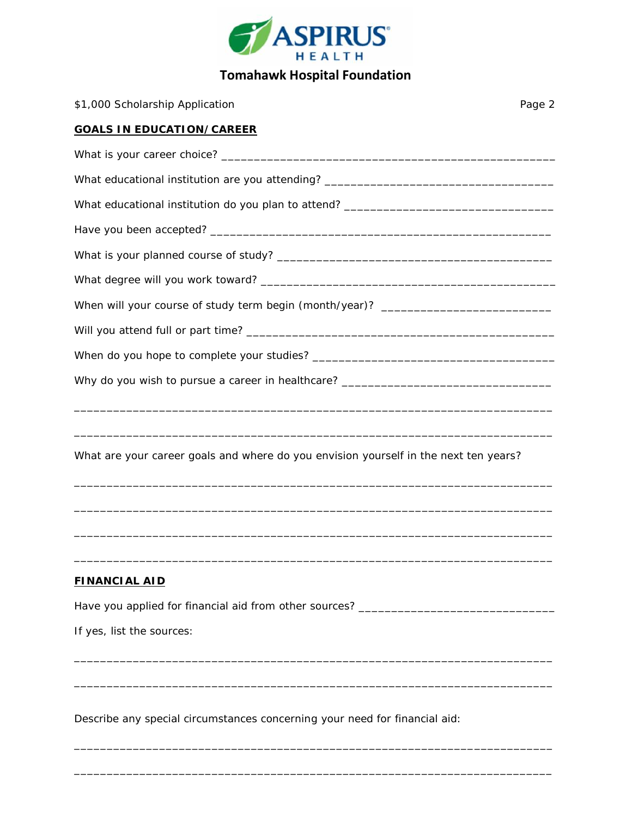

## **Tomahawk Hospital Foundation**

| \$1,000 Scholarship Application                                                      | Page 2 |
|--------------------------------------------------------------------------------------|--------|
| <b>GOALS IN EDUCATION/CAREER</b>                                                     |        |
|                                                                                      |        |
| What educational institution are you attending? _________________________________    |        |
| What educational institution do you plan to attend? _____________________________    |        |
|                                                                                      |        |
|                                                                                      |        |
|                                                                                      |        |
| When will your course of study term begin (month/year)? ________________________     |        |
|                                                                                      |        |
|                                                                                      |        |
| Why do you wish to pursue a career in healthcare? _______________________________    |        |
| What are your career goals and where do you envision yourself in the next ten years? |        |
|                                                                                      |        |
| <b>FINANCIAL AID</b>                                                                 |        |
|                                                                                      |        |
| If yes, list the sources:                                                            |        |
|                                                                                      |        |
|                                                                                      |        |

Describe any special circumstances concerning your need for financial aid:

\_\_\_\_\_\_\_\_\_\_\_\_\_\_\_\_\_\_\_\_\_\_\_\_\_\_\_\_\_\_\_\_\_\_\_\_\_\_\_\_\_\_\_\_\_\_\_\_\_\_\_\_\_\_\_\_\_\_\_\_\_\_\_\_\_\_\_\_\_\_\_\_\_

\_\_\_\_\_\_\_\_\_\_\_\_\_\_\_\_\_\_\_\_\_\_\_\_\_\_\_\_\_\_\_\_\_\_\_\_\_\_\_\_\_\_\_\_\_\_\_\_\_\_\_\_\_\_\_\_\_\_\_\_\_\_\_\_\_\_\_\_\_\_\_\_\_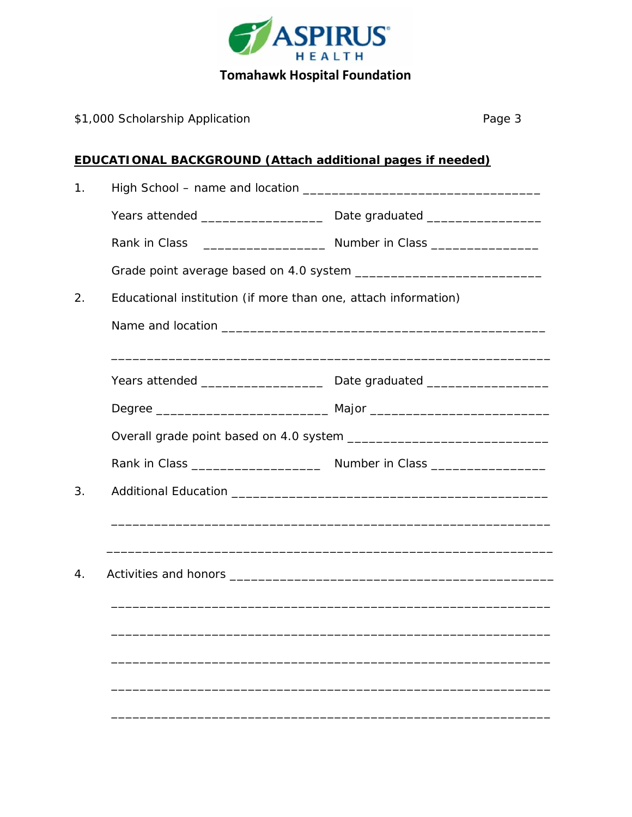

| \$1,000 Scholarship Application | Page 3                                                            |
|---------------------------------|-------------------------------------------------------------------|
|                                 | <b>EDUCATIONAL BACKGROUND (Attach additional pages if needed)</b> |
|                                 |                                                                   |
|                                 |                                                                   |
|                                 |                                                                   |
|                                 |                                                                   |
|                                 | Educational institution (if more than one, attach information)    |
|                                 |                                                                   |
|                                 |                                                                   |
|                                 |                                                                   |
|                                 |                                                                   |
|                                 |                                                                   |
|                                 |                                                                   |
|                                 |                                                                   |
| Activities and honors<br>4.     |                                                                   |
|                                 |                                                                   |
|                                 |                                                                   |
|                                 |                                                                   |
|                                 |                                                                   |
|                                 |                                                                   |